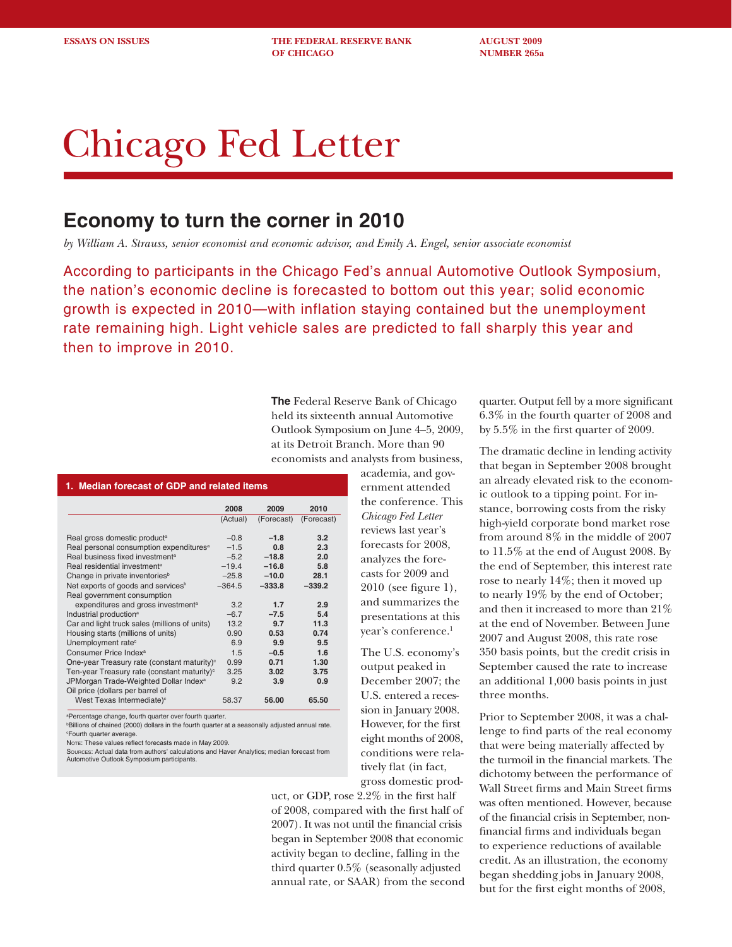**ESSAYS ON ISSUES THE FEDERAL RESERVE BANK AUGUST 2009 OF CHICAGO NUMBER 265a** 

# Chicago Fed Letter

## **Economy to turn the corner in 2010**

*by William A. Strauss, senior economist and economic advisor, and Emily A. Engel, senior associate economist* 

According to participants in the Chicago Fed's annual Automotive Outlook Symposium, the nation's economic decline is forecasted to bottom out this year; solid economic growth is expected in 2010—with inflation staying contained but the unemployment rate remaining high. Light vehicle sales are predicted to fall sharply this year and then to improve in 2010.

> **The** Federal Reserve Bank of Chicago held its sixteenth annual Automotive Outlook Symposium on June 4–5, 2009, at its Detroit Branch. More than 90 economists and analysts from business,

> > academia, and government attended the conference. This *Chicago Fed Letter*  reviews last year's forecasts for 2008, analyzes the forecasts for 2009 and 2010 (see figure 1), and summarizes the presentations at this year's conference.<sup>1</sup>

> > The U.S. economy's output peaked in December 2007; the U.S. entered a recession in January 2008. However, for the first eight months of 2008, conditions were relatively flat (in fact,

> > gross domestic prod-

uct, or GDP, rose 2.2% in the first half of 2008, compared with the first half of 2007). It was not until the financial crisis began in September 2008 that economic activity began to decline, falling in the third quarter 0.5% (seasonally adjusted annual rate, or SAAR) from the second quarter. Output fell by a more significant 6.3% in the fourth quarter of 2008 and by 5.5% in the first quarter of 2009.

The dramatic decline in lending activity that began in September 2008 brought an already elevated risk to the economic outlook to a tipping point. For instance, borrowing costs from the risky high-yield corporate bond market rose from around 8% in the middle of 2007 to 11.5% at the end of August 2008. By the end of September, this interest rate rose to nearly 14%; then it moved up to nearly 19% by the end of October; and then it increased to more than 21% at the end of November. Between June 2007 and August 2008, this rate rose 350 basis points, but the credit crisis in September caused the rate to increase an additional 1,000 basis points in just three months.

Prior to September 2008, it was a challenge to find parts of the real economy that were being materially affected by the turmoil in the financial markets. The dichotomy between the performance of Wall Street firms and Main Street firms was often mentioned. However, because of the financial crisis in September, nonfinancial firms and individuals began to experience reductions of available credit. As an illustration, the economy began shedding jobs in January 2008, but for the first eight months of 2008,

### **1. Median forecast of GDP and related items 2008 2009 2010**

|                                                         | (Actual) | (Forecast) | (Forecast) |
|---------------------------------------------------------|----------|------------|------------|
| Real gross domestic product <sup>a</sup>                | $-0.8$   | $-1.8$     | 3.2        |
| Real personal consumption expenditures <sup>a</sup>     | $-1.5$   | 0.8        | 2.3        |
| Real business fixed investment <sup>a</sup>             | $-5.2$   | $-18.8$    | 2.0        |
| Real residential investment <sup>a</sup>                | $-19.4$  | $-16.8$    | 5.8        |
| Change in private inventories <sup>b</sup>              | $-25.8$  | $-10.0$    | 28.1       |
| Net exports of goods and services <sup>b</sup>          | $-364.5$ | $-333.8$   | $-339.2$   |
| Real government consumption                             |          |            |            |
| expenditures and gross investment <sup>a</sup>          | 3.2      | 1.7        | 2.9        |
| Industrial production <sup>a</sup>                      | $-6.7$   | $-7.5$     | 5.4        |
| Car and light truck sales (millions of units)           | 13.2     | 9.7        | 11.3       |
| Housing starts (millions of units)                      | 0.90     | 0.53       | 0.74       |
| Unemployment rate <sup>c</sup>                          | 6.9      | 9.9        | 9.5        |
| Consumer Price Index <sup>a</sup>                       | 1.5      | $-0.5$     | 1.6        |
| One-year Treasury rate (constant maturity) <sup>c</sup> | 0.99     | 0.71       | 1.30       |
| Ten-year Treasury rate (constant maturity) <sup>c</sup> | 3.25     | 3.02       | 3.75       |
| JPMorgan Trade-Weighted Dollar Index <sup>a</sup>       | 9.2      | 3.9        | 0.9        |
| Oil price (dollars per barrel of                        |          |            |            |
| West Texas Intermediate) <sup>c</sup>                   | 58.37    | 56.00      | 65.50      |

a Percentage change, fourth quarter over fourth quarter.

b Billions of chained (2000) dollars in the fourth quarter at a seasonally adjusted annual rate. c Fourth quarter average.

Note: These values reflect forecasts made in May 2009.

Sources: Actual data from authors' calculations and Haver Analytics; median forecast from Automotive Outlook Symposium participants.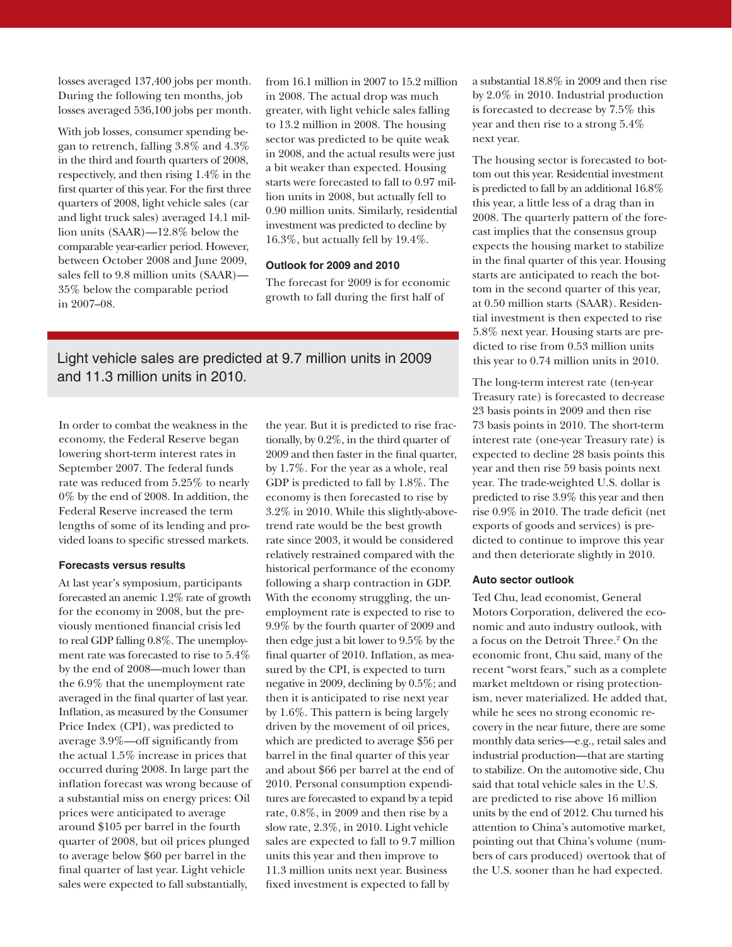losses averaged 137,400 jobs per month. During the following ten months, job losses averaged 536,100 jobs per month.

With job losses, consumer spending began to retrench, falling 3.8% and 4.3% in the third and fourth quarters of 2008, respectively, and then rising 1.4% in the first quarter of this year. For the first three quarters of 2008, light vehicle sales (car and light truck sales) averaged 14.1 million units (SAAR)—12.8% below the comparable year-earlier period. However, between October 2008 and June 2009, sales fell to 9.8 million units (SAAR)— 35% below the comparable period in 2007–08.

from 16.1 million in 2007 to 15.2 million in 2008. The actual drop was much greater, with light vehicle sales falling to 13.2 million in 2008. The housing sector was predicted to be quite weak in 2008, and the actual results were just a bit weaker than expected. Housing starts were forecasted to fall to 0.97 million units in 2008, but actually fell to 0.90 million units. Similarly, residential investment was predicted to decline by 16.3%, but actually fell by 19.4%.

#### **Outlook for 2009 and 2010**

The forecast for 2009 is for economic growth to fall during the first half of

Light vehicle sales are predicted at 9.7 million units in 2009 and 11.3 million units in 2010.

In order to combat the weakness in the economy, the Federal Reserve began lowering short-term interest rates in September 2007. The federal funds rate was reduced from 5.25% to nearly 0% by the end of 2008. In addition, the Federal Reserve increased the term lengths of some of its lending and provided loans to specific stressed markets.

#### **Forecasts versus results**

At last year's symposium, participants forecasted an anemic 1.2% rate of growth for the economy in 2008, but the previously mentioned financial crisis led to real GDP falling 0.8%. The unemployment rate was forecasted to rise to 5.4% by the end of 2008—much lower than the 6.9% that the unemployment rate averaged in the final quarter of last year. Inflation, as measured by the Consumer Price Index (CPI), was predicted to average 3.9%—off significantly from the actual 1.5% increase in prices that occurred during 2008. In large part the inflation forecast was wrong because of a substantial miss on energy prices: Oil prices were anticipated to average around \$105 per barrel in the fourth quarter of 2008, but oil prices plunged to average below \$60 per barrel in the final quarter of last year. Light vehicle sales were expected to fall substantially,

the year. But it is predicted to rise fractionally, by 0.2%, in the third quarter of 2009 and then faster in the final quarter, by 1.7%. For the year as a whole, real GDP is predicted to fall by 1.8%. The economy is then forecasted to rise by 3.2% in 2010. While this slightly-abovetrend rate would be the best growth rate since 2003, it would be considered relatively restrained compared with the historical performance of the economy following a sharp contraction in GDP. With the economy struggling, the unemployment rate is expected to rise to 9.9% by the fourth quarter of 2009 and then edge just a bit lower to 9.5% by the final quarter of 2010. Inflation, as measured by the CPI, is expected to turn negative in 2009, declining by 0.5%; and then it is anticipated to rise next year by 1.6%. This pattern is being largely driven by the movement of oil prices, which are predicted to average \$56 per barrel in the final quarter of this year and about \$66 per barrel at the end of 2010. Personal consumption expenditures are forecasted to expand by a tepid rate, 0.8%, in 2009 and then rise by a slow rate, 2.3%, in 2010. Light vehicle sales are expected to fall to 9.7 million units this year and then improve to 11.3 million units next year. Business fixed investment is expected to fall by

a substantial 18.8% in 2009 and then rise by 2.0% in 2010. Industrial production is forecasted to decrease by 7.5% this year and then rise to a strong 5.4% next year.

The housing sector is forecasted to bottom out this year. Residential investment is predicted to fall by an additional 16.8% this year, a little less of a drag than in 2008. The quarterly pattern of the forecast implies that the consensus group expects the housing market to stabilize in the final quarter of this year. Housing starts are anticipated to reach the bottom in the second quarter of this year, at 0.50 million starts (SAAR). Residential investment is then expected to rise 5.8% next year. Housing starts are predicted to rise from 0.53 million units this year to 0.74 million units in 2010.

The long-term interest rate (ten-year Treasury rate) is forecasted to decrease 23 basis points in 2009 and then rise 73 basis points in 2010. The short-term interest rate (one-year Treasury rate) is expected to decline 28 basis points this year and then rise 59 basis points next year. The trade-weighted U.S. dollar is predicted to rise 3.9% this year and then rise 0.9% in 2010. The trade deficit (net exports of goods and services) is predicted to continue to improve this year and then deteriorate slightly in 2010.

#### **Auto sector outlook**

Ted Chu, lead economist, General Motors Corporation, delivered the economic and auto industry outlook, with a focus on the Detroit Three.2 On the economic front, Chu said, many of the recent "worst fears," such as a complete market meltdown or rising protectionism, never materialized. He added that, while he sees no strong economic recovery in the near future, there are some monthly data series—e.g., retail sales and industrial production—that are starting to stabilize. On the automotive side, Chu said that total vehicle sales in the U.S. are predicted to rise above 16 million units by the end of 2012. Chu turned his attention to China's automotive market, pointing out that China's volume (numbers of cars produced) overtook that of the U.S. sooner than he had expected.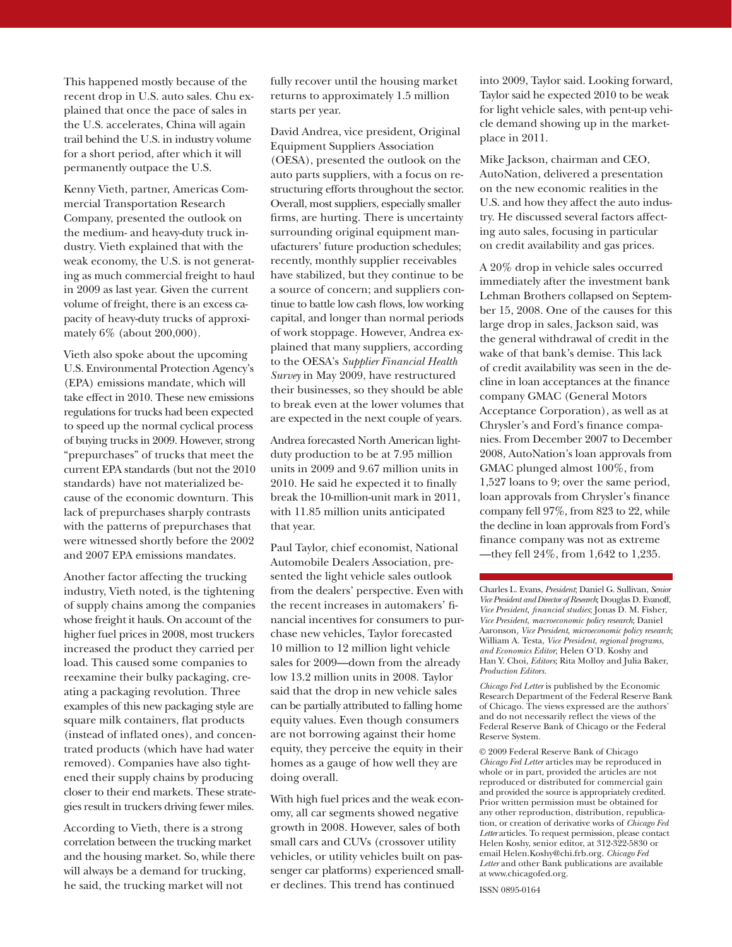This happened mostly because of the recent drop in U.S. auto sales. Chu explained that once the pace of sales in the U.S. accelerates, China will again trail behind the U.S. in industry volume for a short period, after which it will permanently outpace the U.S.

Kenny Vieth, partner, Americas Commercial Transportation Research Company, presented the outlook on the medium- and heavy-duty truck industry. Vieth explained that with the weak economy, the U.S. is not generating as much commercial freight to haul in 2009 as last year. Given the current volume of freight, there is an excess capacity of heavy-duty trucks of approximately 6% (about 200,000).

Vieth also spoke about the upcoming U.S. Environmental Protection Agency's (EPA) emissions mandate, which will take effect in 2010. These new emissions regulations for trucks had been expected to speed up the normal cyclical process of buying trucks in 2009. However, strong "prepurchases" of trucks that meet the current EPA standards (but not the 2010 standards) have not materialized because of the economic downturn. This lack of prepurchases sharply contrasts with the patterns of prepurchases that were witnessed shortly before the 2002 and 2007 EPA emissions mandates.

Another factor affecting the trucking industry, Vieth noted, is the tightening of supply chains among the companies whose freight it hauls. On account of the higher fuel prices in 2008, most truckers increased the product they carried per load. This caused some companies to reexamine their bulky packaging, creating a packaging revolution. Three examples of this new packaging style are square milk containers, flat products (instead of inflated ones), and concentrated products (which have had water removed). Companies have also tightened their supply chains by producing closer to their end markets. These strategies result in truckers driving fewer miles.

According to Vieth, there is a strong correlation between the trucking market and the housing market. So, while there will always be a demand for trucking, he said, the trucking market will not

fully recover until the housing market returns to approximately 1.5 million starts per year.

David Andrea, vice president, Original Equipment Suppliers Association (OESA), presented the outlook on the auto parts suppliers, with a focus on restructuring efforts throughout the sector. Overall, most suppliers, especially smaller firms, are hurting. There is uncertainty surrounding original equipment manufacturers' future production schedules; recently, monthly supplier receivables have stabilized, but they continue to be a source of concern; and suppliers continue to battle low cash flows, low working capital, and longer than normal periods of work stoppage. However, Andrea explained that many suppliers, according to the OESA's *Supplier Financial Health Survey* in May 2009, have restructured their businesses, so they should be able to break even at the lower volumes that are expected in the next couple of years.

Andrea forecasted North American lightduty production to be at 7.95 million units in 2009 and 9.67 million units in 2010. He said he expected it to finally break the 10-million-unit mark in 2011, with 11.85 million units anticipated that year.

Paul Taylor, chief economist, National Automobile Dealers Association, presented the light vehicle sales outlook from the dealers' perspective. Even with the recent increases in automakers' financial incentives for consumers to purchase new vehicles, Taylor forecasted 10 million to 12 million light vehicle sales for 2009—down from the already low 13.2 million units in 2008. Taylor said that the drop in new vehicle sales can be partially attributed to falling home equity values. Even though consumers are not borrowing against their home equity, they perceive the equity in their homes as a gauge of how well they are doing overall.

With high fuel prices and the weak economy, all car segments showed negative growth in 2008. However, sales of both small cars and CUVs (crossover utility vehicles, or utility vehicles built on passenger car platforms) experienced smaller declines. This trend has continued

into 2009, Taylor said. Looking forward, Taylor said he expected 2010 to be weak for light vehicle sales, with pent-up vehicle demand showing up in the marketplace in 2011.

Mike Jackson, chairman and CEO, AutoNation, delivered a presentation on the new economic realities in the U.S. and how they affect the auto industry. He discussed several factors affecting auto sales, focusing in particular on credit availability and gas prices.

A 20% drop in vehicle sales occurred immediately after the investment bank Lehman Brothers collapsed on September 15, 2008. One of the causes for this large drop in sales, Jackson said, was the general withdrawal of credit in the wake of that bank's demise. This lack of credit availability was seen in the decline in loan acceptances at the finance company GMAC (General Motors Acceptance Corporation), as well as at Chrysler's and Ford's finance companies. From December 2007 to December 2008, AutoNation's loan approvals from GMAC plunged almost 100%, from 1,527 loans to 9; over the same period, loan approvals from Chrysler's finance company fell 97%, from 823 to 22, while the decline in loan approvals from Ford's finance company was not as extreme —they fell 24%, from 1,642 to 1,235.

Charles L. Evans, *President*; Daniel G. Sullivan, *Senior Vice President and Director of Research*; Douglas D. Evanoff, *Vice President, financial studies*; Jonas D. M. Fisher, *Vice President*, *macroeconomic policy research*; Daniel Aaronson*, Vice President*, *microeconomic policy research*; William A. Testa, *Vice President*, *regional programs*, *and Economics Editor*; Helen O'D. Koshy and Han Y. Choi, *Editors*; Rita Molloy and Julia Baker, *Production Editors.*

*Chicago Fed Letter* is published by the Economic Research Department of the Federal Reserve Bank of Chicago. The views expressed are the authors' and do not necessarily reflect the views of the Federal Reserve Bank of Chicago or the Federal Reserve System.

© 2009 Federal Reserve Bank of Chicago *Chicago Fed Letter* articles may be reproduced in whole or in part, provided the articles are not reproduced or distributed for commercial gain and provided the source is appropriately credited. Prior written permission must be obtained for any other reproduction, distribution, republication, or creation of derivative works of *Chicago Fed Letter* articles. To request permission, please contact Helen Koshy, senior editor, at 312-322-5830 or email Helen.Koshy@chi.frb.org. *Chicago Fed Letter* and other Bank publications are available at www.chicagofed.org.

ISSN 0895-0164